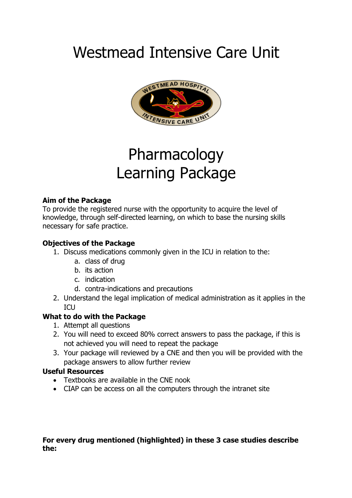# Westmead Intensive Care Unit



# Pharmacology Learning Package

#### **Aim of the Package**

To provide the registered nurse with the opportunity to acquire the level of knowledge, through self-directed learning, on which to base the nursing skills necessary for safe practice.

#### **Objectives of the Package**

- 1. Discuss medications commonly given in the ICU in relation to the:
	- a. class of drug
	- b. its action
	- c. indication
	- d. contra-indications and precautions
- 2. Understand the legal implication of medical administration as it applies in the **ICU**

# **What to do with the Package**

- 1. Attempt all questions
- 2. You will need to exceed 80% correct answers to pass the package, if this is not achieved you will need to repeat the package
- 3. Your package will reviewed by a CNE and then you will be provided with the package answers to allow further review

# **Useful Resources**

- Textbooks are available in the CNE nook
- CIAP can be access on all the computers through the intranet site

#### **For every drug mentioned (highlighted) in these 3 case studies describe the:**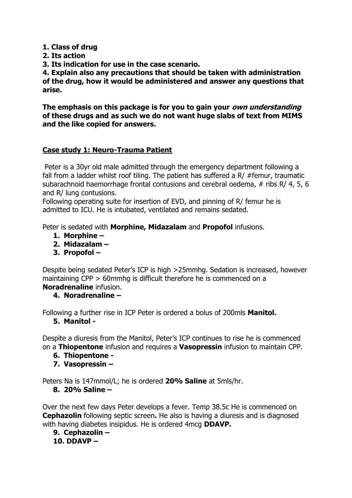**1. Class of drug** 

**2. Its action** 

**3. Its indication for use in the case scenario.**

**4. Explain also any precautions that should be taken with administration of the drug, how it would be administered and answer any questions that arise.**

**The emphasis on this package is for you to gain your own understanding of these drugs and as such we do not want huge slabs of text from MIMS and the like copied for answers.**

#### **Case study 1: Neuro-Trauma Patient**

Peter is a 30yr old male admitted through the emergency department following a fall from a ladder whilst roof tiling. The patient has suffered a R/ #femur, traumatic subarachnoid haemorrhage frontal contusions and cerebral oedema, # ribs R/ 4, 5, 6 and R/ lung contusions.

Following operating suite for insertion of EVD, and pinning of R/ femur he is admitted to ICU. He is intubated, ventilated and remains sedated.

Peter is sedated with **Morphine, Midazalam** and **Propofol** infusions.

- **1. Morphine –**
- **2. Midazalam –**
- **3. Propofol –**

Despite being sedated Peter's ICP is high >25mmhg. Sedation is increased, however maintaining CPP > 60mmhg is difficult therefore he is commenced on a **Noradrenaline** infusion.

#### **4. Noradrenaline –**

Following a further rise in ICP Peter is ordered a bolus of 200mls **Manitol.**

**5. Manitol -**

Despite a diuresis from the Manitol, Peter's ICP continues to rise he is commenced on a **Thiopentone** infusion and requires a **Vasopressin** infusion to maintain CPP.

- **6. Thiopentone -**
- **7. Vasopressin –**

Peters Na is 147mmol/L; he is ordered **20% Saline** at 5mls/hr.

#### **8. 20% Saline –**

Over the next few days Peter develops a fever. Temp 38.5c He is commenced on **Cephazolin** following septic screen**.** He also is having a diuresis and is diagnosed with having diabetes insipidus. He is ordered 4mcg **DDAVP.**

**9. Cephazolin – 10. DDAVP –**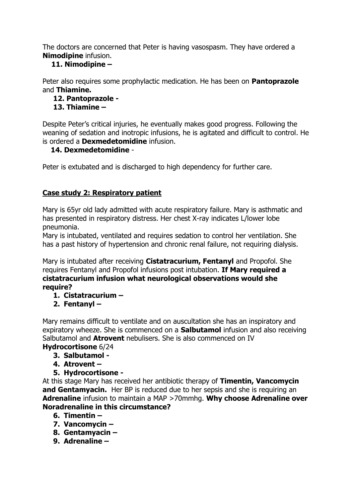The doctors are concerned that Peter is having vasospasm. They have ordered a **Nimodipine** infusion.

# **11. Nimodipine –**

Peter also requires some prophylactic medication. He has been on **Pantoprazole** and **Thiamine.**

# **12. Pantoprazole -**

# **13. Thiamine –**

Despite Peter's critical injuries, he eventually makes good progress. Following the weaning of sedation and inotropic infusions, he is agitated and difficult to control. He is ordered a **Dexmedetomidine** infusion.

# **14. Dexmedetomidine** -

Peter is extubated and is discharged to high dependency for further care.

# **Case study 2: Respiratory patient**

Mary is 65yr old lady admitted with acute respiratory failure. Mary is asthmatic and has presented in respiratory distress. Her chest X-ray indicates L/lower lobe pneumonia.

Mary is intubated, ventilated and requires sedation to control her ventilation. She has a past history of hypertension and chronic renal failure, not requiring dialysis.

Mary is intubated after receiving **Cistatracurium, Fentanyl** and Propofol. She requires Fentanyl and Propofol infusions post intubation. **If Mary required a cistatracurium infusion what neurological observations would she require?**

- **1. Cistatracurium –**
- **2. Fentanyl –**

Mary remains difficult to ventilate and on auscultation she has an inspiratory and expiratory wheeze. She is commenced on a **Salbutamol** infusion and also receiving Salbutamol and **Atrovent** nebulisers. She is also commenced on IV

# **Hydrocortisone** 6/24

- **3. Salbutamol -**
- **4. Atrovent –**
- **5. Hydrocortisone -**

At this stage Mary has received her antibiotic therapy of **Timentin, Vancomycin and Gentamyacin.** Her BP is reduced due to her sepsis and she is requiring an **Adrenaline** infusion to maintain a MAP >70mmhg. **Why choose Adrenaline over Noradrenaline in this circumstance?**

- **6. Timentin –**
- **7. Vancomycin –**
- **8. Gentamyacin –**
- **9. Adrenaline –**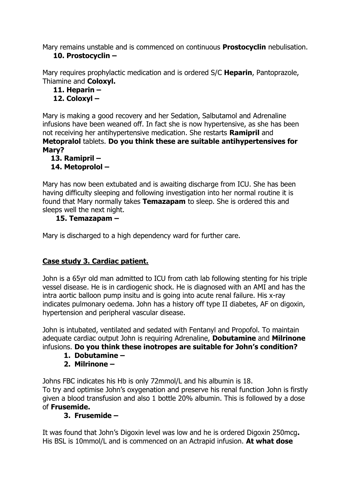Mary remains unstable and is commenced on continuous **Prostocyclin** nebulisation. **10. Prostocyclin –**

Mary requires prophylactic medication and is ordered S/C **Heparin**, Pantoprazole, Thiamine and **Coloxyl.**

**11. Heparin –**

# **12. Coloxyl –**

Mary is making a good recovery and her Sedation, Salbutamol and Adrenaline infusions have been weaned off. In fact she is now hypertensive, as she has been not receiving her antihypertensive medication. She restarts **Ramipril** and **Metopralol** tablets. **Do you think these are suitable antihypertensives for Mary?**

# **13. Ramipril –**

# **14. Metoprolol –**

Mary has now been extubated and is awaiting discharge from ICU. She has been having difficulty sleeping and following investigation into her normal routine it is found that Mary normally takes **Temazapam** to sleep. She is ordered this and sleeps well the next night.

# **15. Temazapam –**

Mary is discharged to a high dependency ward for further care.

# **Case study 3. Cardiac patient.**

John is a 65yr old man admitted to ICU from cath lab following stenting for his triple vessel disease. He is in cardiogenic shock. He is diagnosed with an AMI and has the intra aortic balloon pump insitu and is going into acute renal failure. His x-ray indicates pulmonary oedema. John has a history off type II diabetes, AF on digoxin, hypertension and peripheral vascular disease.

John is intubated, ventilated and sedated with Fentanyl and Propofol. To maintain adequate cardiac output John is requiring Adrenaline, **Dobutamine** and **Milrinone** infusions. **Do you think these inotropes are suitable for John's condition?**

**1. Dobutamine –**

# **2. Milrinone –**

Johns FBC indicates his Hb is only 72mmol/L and his albumin is 18. To try and optimise John's oxygenation and preserve his renal function John is firstly given a blood transfusion and also 1 bottle 20% albumin. This is followed by a dose of **Frusemide.** 

# **3. Frusemide –**

It was found that John's Digoxin level was low and he is ordered Digoxin 250mcg**.**  His BSL is 10mmol/L and is commenced on an Actrapid infusion. **At what dose**